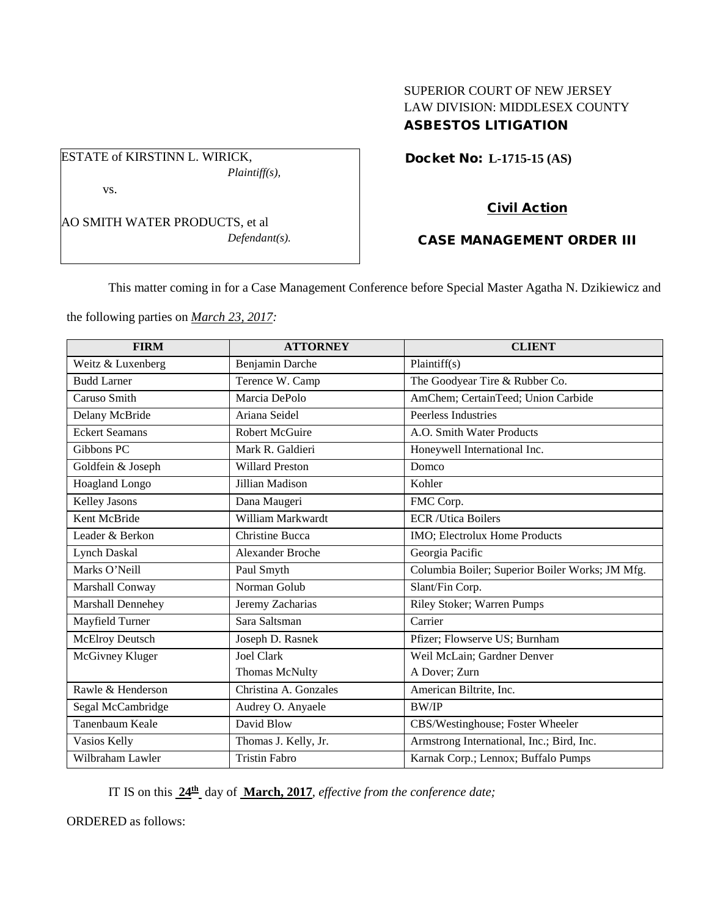# SUPERIOR COURT OF NEW JERSEY LAW DIVISION: MIDDLESEX COUNTY ASBESTOS LITIGATION

Docket No: **L-1715-15 (AS)** 

vs.

AO SMITH WATER PRODUCTS, et al *Defendant(s).*

*Plaintiff(s),*

ESTATE of KIRSTINN L. WIRICK,

# Civil Action

## CASE MANAGEMENT ORDER III

This matter coming in for a Case Management Conference before Special Master Agatha N. Dzikiewicz and

the following parties on *March 23, 2017:*

| <b>FIRM</b>            | <b>ATTORNEY</b>         | <b>CLIENT</b>                                   |
|------------------------|-------------------------|-------------------------------------------------|
| Weitz & Luxenberg      | Benjamin Darche         | Plaintiff $(s)$                                 |
| <b>Budd Larner</b>     | Terence W. Camp         | The Goodyear Tire & Rubber Co.                  |
| Caruso Smith           | Marcia DePolo           | AmChem; CertainTeed; Union Carbide              |
| Delany McBride         | Ariana Seidel           | Peerless Industries                             |
| <b>Eckert Seamans</b>  | <b>Robert McGuire</b>   | A.O. Smith Water Products                       |
| Gibbons PC             | Mark R. Galdieri        | Honeywell International Inc.                    |
| Goldfein & Joseph      | <b>Willard Preston</b>  | Domco                                           |
| Hoagland Longo         | Jillian Madison         | Kohler                                          |
| <b>Kelley Jasons</b>   | Dana Maugeri            | FMC Corp.                                       |
| Kent McBride           | William Markwardt       | <b>ECR</b> /Utica Boilers                       |
| Leader & Berkon        | <b>Christine Bucca</b>  | IMO; Electrolux Home Products                   |
| <b>Lynch Daskal</b>    | <b>Alexander Broche</b> | Georgia Pacific                                 |
| Marks O'Neill          | Paul Smyth              | Columbia Boiler; Superior Boiler Works; JM Mfg. |
| Marshall Conway        | Norman Golub            | Slant/Fin Corp.                                 |
| Marshall Dennehey      | Jeremy Zacharias        | Riley Stoker; Warren Pumps                      |
| Mayfield Turner        | Sara Saltsman           | Carrier                                         |
| <b>McElroy Deutsch</b> | Joseph D. Rasnek        | Pfizer; Flowserve US; Burnham                   |
| McGivney Kluger        | <b>Joel Clark</b>       | Weil McLain; Gardner Denver                     |
|                        | <b>Thomas McNulty</b>   | A Dover; Zurn                                   |
| Rawle & Henderson      | Christina A. Gonzales   | American Biltrite, Inc.                         |
| Segal McCambridge      | Audrey O. Anyaele       | <b>BW/IP</b>                                    |
| Tanenbaum Keale        | David Blow              | CBS/Westinghouse; Foster Wheeler                |
| Vasios Kelly           | Thomas J. Kelly, Jr.    | Armstrong International, Inc.; Bird, Inc.       |
| Wilbraham Lawler       | <b>Tristin Fabro</b>    | Karnak Corp.; Lennox; Buffalo Pumps             |

IT IS on this **24th** day of **March, 2017**, *effective from the conference date;*

ORDERED as follows: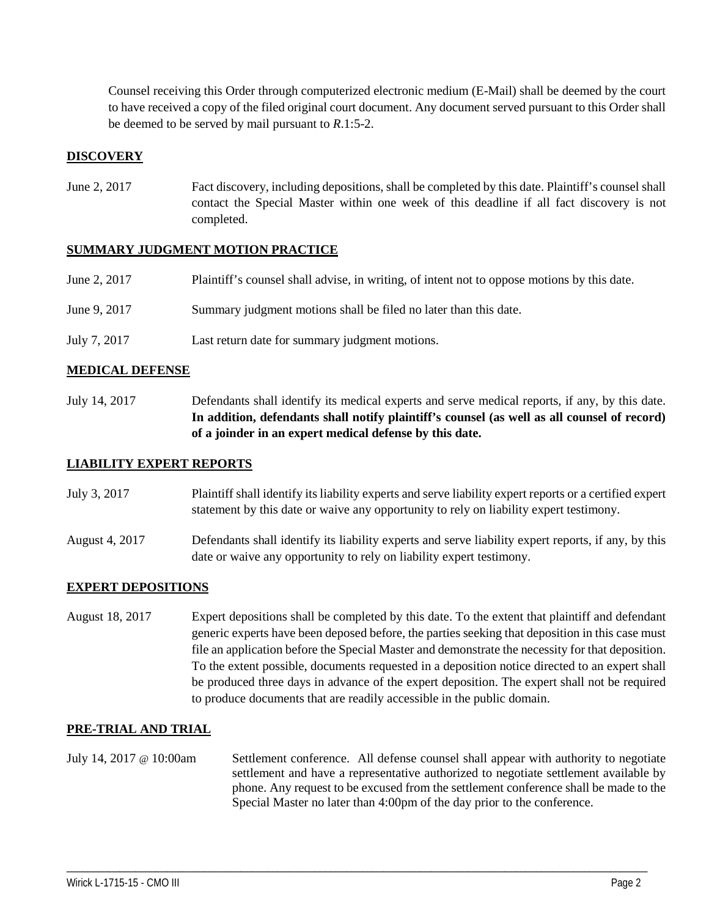Counsel receiving this Order through computerized electronic medium (E-Mail) shall be deemed by the court to have received a copy of the filed original court document. Any document served pursuant to this Order shall be deemed to be served by mail pursuant to *R*.1:5-2.

## **DISCOVERY**

June 2, 2017 Fact discovery, including depositions, shall be completed by this date. Plaintiff's counsel shall contact the Special Master within one week of this deadline if all fact discovery is not completed.

### **SUMMARY JUDGMENT MOTION PRACTICE**

| June 2, 2017 | Plaintiff's counsel shall advise, in writing, of intent not to oppose motions by this date. |
|--------------|---------------------------------------------------------------------------------------------|
| June 9, 2017 | Summary judgment motions shall be filed no later than this date.                            |
| July 7, 2017 | Last return date for summary judgment motions.                                              |

#### **MEDICAL DEFENSE**

July 14, 2017 Defendants shall identify its medical experts and serve medical reports, if any, by this date. **In addition, defendants shall notify plaintiff's counsel (as well as all counsel of record) of a joinder in an expert medical defense by this date.**

#### **LIABILITY EXPERT REPORTS**

| July 3, 2017 | Plaintiff shall identify its liability experts and serve liability expert reports or a certified expert |
|--------------|---------------------------------------------------------------------------------------------------------|
|              | statement by this date or waive any opportunity to rely on liability expert testimony.                  |

August 4, 2017 Defendants shall identify its liability experts and serve liability expert reports, if any, by this date or waive any opportunity to rely on liability expert testimony.

#### **EXPERT DEPOSITIONS**

August 18, 2017 Expert depositions shall be completed by this date. To the extent that plaintiff and defendant generic experts have been deposed before, the parties seeking that deposition in this case must file an application before the Special Master and demonstrate the necessity for that deposition. To the extent possible, documents requested in a deposition notice directed to an expert shall be produced three days in advance of the expert deposition. The expert shall not be required to produce documents that are readily accessible in the public domain.

### **PRE-TRIAL AND TRIAL**

July 14, 2017 @ 10:00am Settlement conference. All defense counsel shall appear with authority to negotiate settlement and have a representative authorized to negotiate settlement available by phone. Any request to be excused from the settlement conference shall be made to the Special Master no later than 4:00pm of the day prior to the conference.

\_\_\_\_\_\_\_\_\_\_\_\_\_\_\_\_\_\_\_\_\_\_\_\_\_\_\_\_\_\_\_\_\_\_\_\_\_\_\_\_\_\_\_\_\_\_\_\_\_\_\_\_\_\_\_\_\_\_\_\_\_\_\_\_\_\_\_\_\_\_\_\_\_\_\_\_\_\_\_\_\_\_\_\_\_\_\_\_\_\_\_\_\_\_\_\_\_\_\_\_\_\_\_\_\_\_\_\_\_\_